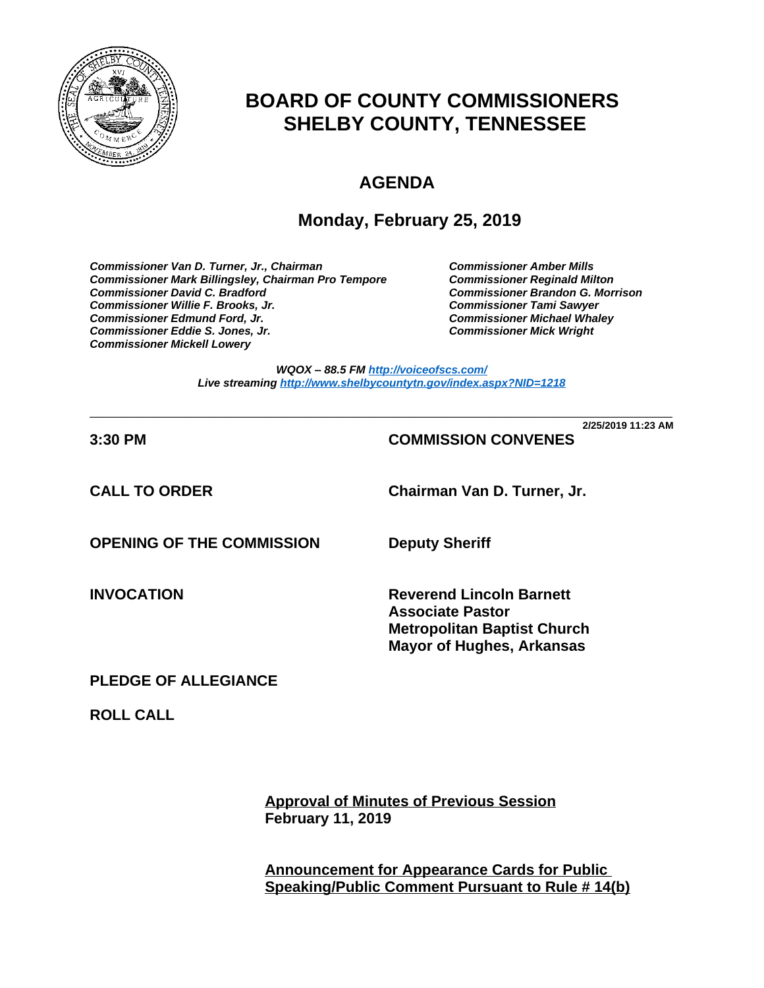

# **BOARD OF COUNTY COMMISSIONERS SHELBY COUNTY, TENNESSEE**

# **AGENDA**

## **Monday, February 25, 2019**

*Commissioner Van D. Turner, Jr., Chairman Commissioner Amber Mills*  **Commissioner Mark Billingsley, Chairman Pro Tempore** *Commissioner David C. Bradford Commissioner Brandon G. Morrison Commissioner Willie F. Brooks, Jr. Commissioner Tami Sawyer Commissioner Eddie S. Jones, Jr. Commissioner Mick Wright Commissioner Mickell Lowery*

**Commissioner Michael Whaley<br>Commissioner Mick Wright** 

*WQOX – 88.5 FM <http://voiceofscs.com/> Live streaming <http://www.shelbycountytn.gov/index.aspx?NID=1218>*

**\_\_\_\_\_\_\_\_\_\_\_\_\_\_\_\_\_\_\_\_\_\_\_\_\_\_\_\_\_\_\_\_\_\_\_\_\_\_\_\_\_\_\_\_\_\_\_\_\_\_\_\_\_\_\_\_\_\_\_\_\_\_\_\_\_\_\_\_\_\_ 2/25/2019 11:23 AM**

## **3:30 PM COMMISSION CONVENES**

**CALL TO ORDER Chairman Van D. Turner, Jr.**

**OPENING OF THE COMMISSION Deputy Sheriff**

**INVOCATION Reverend Lincoln Barnett Associate Pastor Metropolitan Baptist Church Mayor of Hughes, Arkansas**

## **PLEDGE OF ALLEGIANCE**

**ROLL CALL**

**Approval of Minutes of Previous Session February 11, 2019**

**Announcement for Appearance Cards for Public Speaking/Public Comment Pursuant to Rule # 14(b)**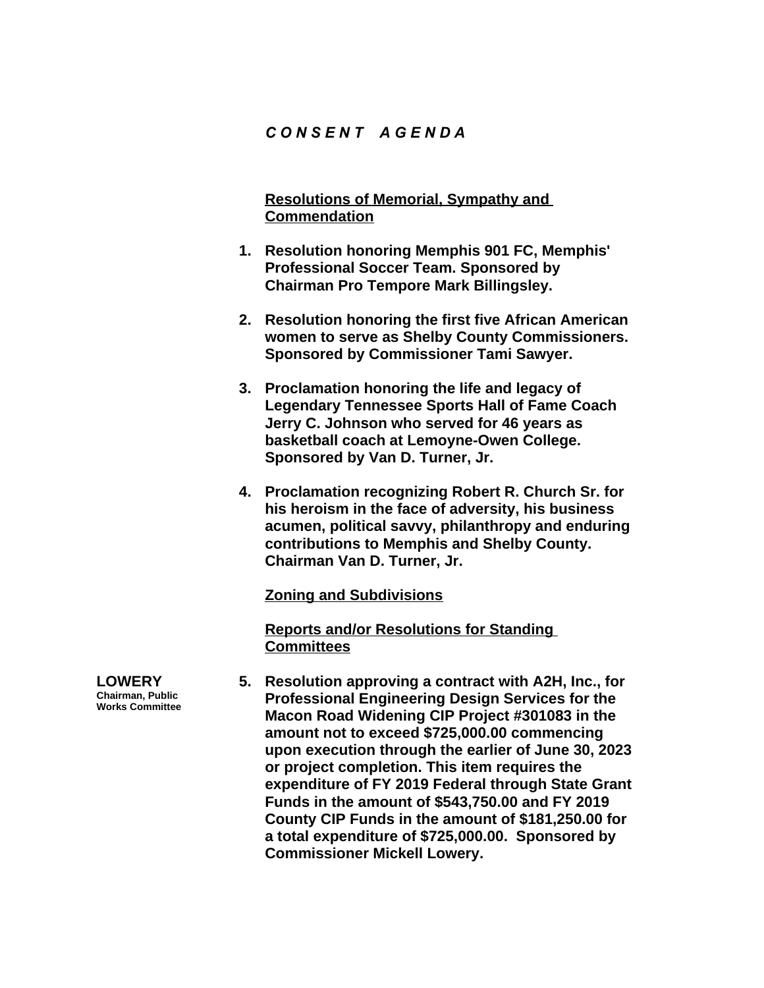### *C O N S E N T A G E N D A*

**Resolutions of Memorial, Sympathy and Commendation**

- **1. Resolution honoring Memphis 901 FC, Memphis' Professional Soccer Team. Sponsored by Chairman Pro Tempore Mark Billingsley.**
- **2. Resolution honoring the first five African American women to serve as Shelby County Commissioners. Sponsored by Commissioner Tami Sawyer.**
- **3. Proclamation honoring the life and legacy of Legendary Tennessee Sports Hall of Fame Coach Jerry C. Johnson who served for 46 years as basketball coach at Lemoyne-Owen College. Sponsored by Van D. Turner, Jr.**
- **4. Proclamation recognizing Robert R. Church Sr. for his heroism in the face of adversity, his business acumen, political savvy, philanthropy and enduring contributions to Memphis and Shelby County. Chairman Van D. Turner, Jr.**

**Zoning and Subdivisions**

**Reports and/or Resolutions for Standing Committees**

- **5. Resolution approving a contract with A2H, Inc., for Professional Engineering Design Services for the Macon Road Widening CIP Project #301083 in the amount not to exceed \$725,000.00 commencing upon execution through the earlier of June 30, 2023 or project completion. This item requires the expenditure of FY 2019 Federal through State Grant Funds in the amount of \$543,750.00 and FY 2019 County CIP Funds in the amount of \$181,250.00 for a total expenditure of \$725,000.00. Sponsored by Commissioner Mickell Lowery.**
- **LOWERY Chairman, Public Works Committee**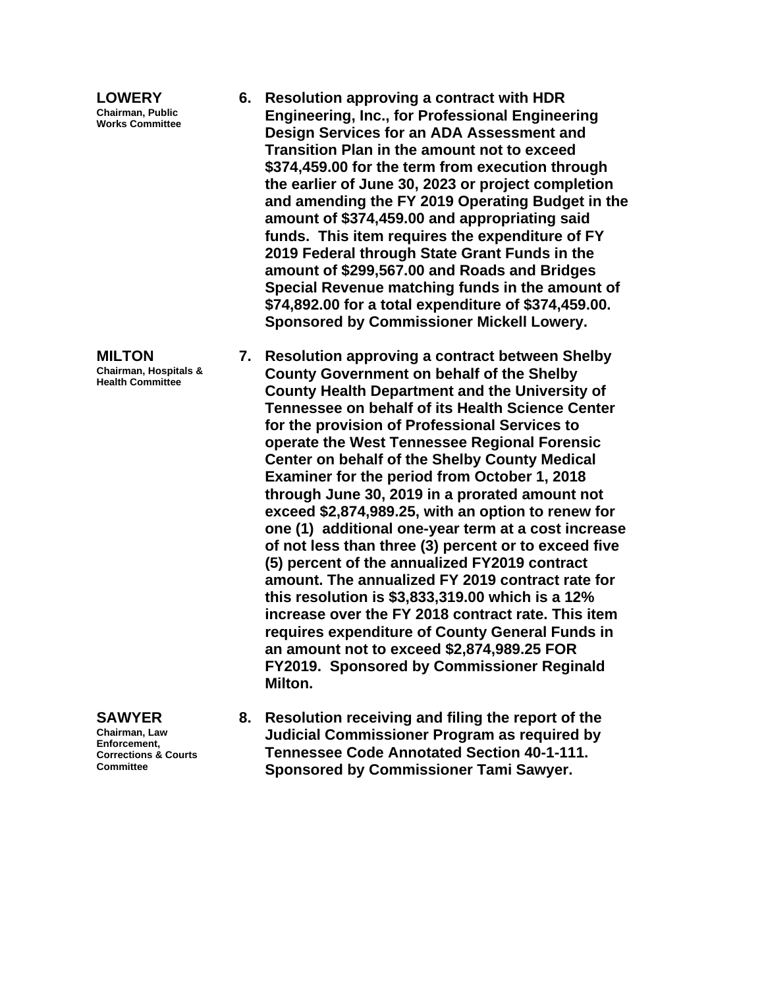**LOWERY Chairman, Public Works Committee**

**MILTON Chairman, Hospitals & Health Committee**

**SAWYER Chairman, Law Enforcement, Corrections & Courts Committee**

- **6. Resolution approving a contract with HDR Engineering, Inc., for Professional Engineering Design Services for an ADA Assessment and Transition Plan in the amount not to exceed \$374,459.00 for the term from execution through the earlier of June 30, 2023 or project completion and amending the FY 2019 Operating Budget in the amount of \$374,459.00 and appropriating said funds. This item requires the expenditure of FY 2019 Federal through State Grant Funds in the amount of \$299,567.00 and Roads and Bridges Special Revenue matching funds in the amount of \$74,892.00 for a total expenditure of \$374,459.00. Sponsored by Commissioner Mickell Lowery.**
- **7. Resolution approving a contract between Shelby County Government on behalf of the Shelby County Health Department and the University of Tennessee on behalf of its Health Science Center for the provision of Professional Services to operate the West Tennessee Regional Forensic Center on behalf of the Shelby County Medical Examiner for the period from October 1, 2018 through June 30, 2019 in a prorated amount not exceed \$2,874,989.25, with an option to renew for one (1) additional one-year term at a cost increase of not less than three (3) percent or to exceed five (5) percent of the annualized FY2019 contract amount. The annualized FY 2019 contract rate for this resolution is \$3,833,319.00 which is a 12% increase over the FY 2018 contract rate. This item requires expenditure of County General Funds in an amount not to exceed \$2,874,989.25 FOR FY2019. Sponsored by Commissioner Reginald Milton.**
- **8. Resolution receiving and filing the report of the Judicial Commissioner Program as required by Tennessee Code Annotated Section 40-1-111. Sponsored by Commissioner Tami Sawyer.**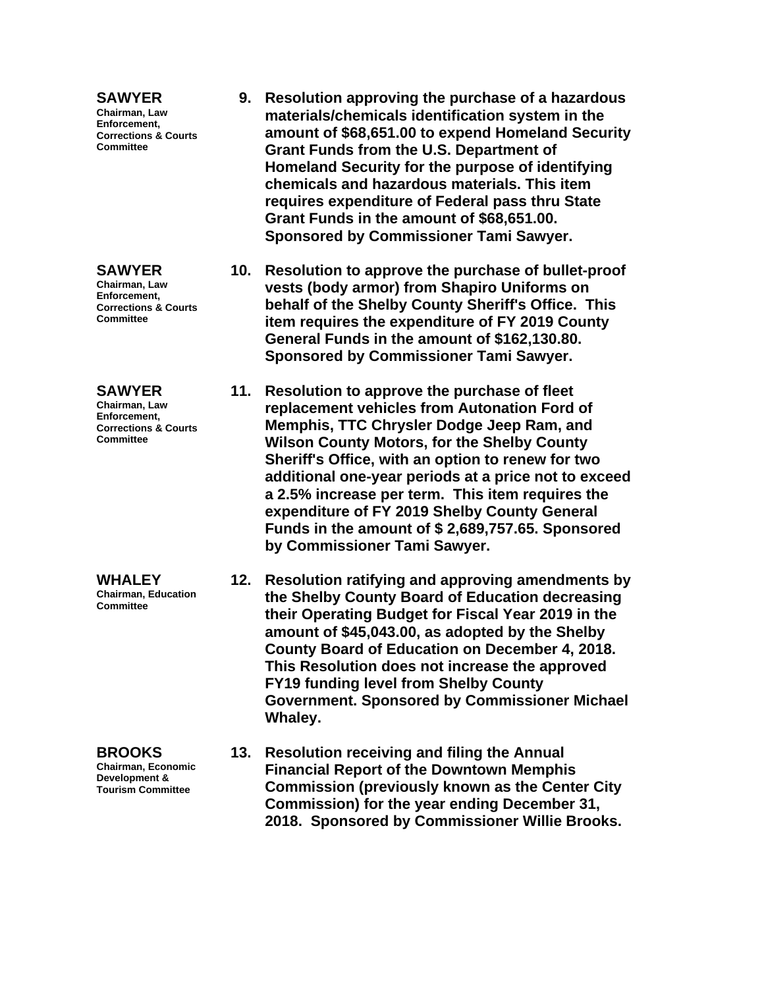#### **SAWYER**

**Chairman, Law Enforcement, Corrections & Courts Committee**

#### **SAWYER**

**Chairman, Law Enforcement, Corrections & Courts Committee**

#### **SAWYER**

**Chairman, Law Enforcement, Corrections & Courts Committee**

#### **WHALEY**

**Chairman, Education Committee**

**BROOKS**

**Chairman, Economic Development & Tourism Committee**

- **9. Resolution approving the purchase of a hazardous materials/chemicals identification system in the amount of \$68,651.00 to expend Homeland Security Grant Funds from the U.S. Department of Homeland Security for the purpose of identifying chemicals and hazardous materials. This item requires expenditure of Federal pass thru State Grant Funds in the amount of \$68,651.00. Sponsored by Commissioner Tami Sawyer.**
- **10. Resolution to approve the purchase of bullet-proof vests (body armor) from Shapiro Uniforms on behalf of the Shelby County Sheriff's Office. This item requires the expenditure of FY 2019 County General Funds in the amount of \$162,130.80. Sponsored by Commissioner Tami Sawyer.**
- **11. Resolution to approve the purchase of fleet replacement vehicles from Autonation Ford of Memphis, TTC Chrysler Dodge Jeep Ram, and Wilson County Motors, for the Shelby County Sheriff's Office, with an option to renew for two additional one-year periods at a price not to exceed a 2.5% increase per term. This item requires the expenditure of FY 2019 Shelby County General Funds in the amount of \$ 2,689,757.65. Sponsored by Commissioner Tami Sawyer.**
- **12. Resolution ratifying and approving amendments by the Shelby County Board of Education decreasing their Operating Budget for Fiscal Year 2019 in the amount of \$45,043.00, as adopted by the Shelby County Board of Education on December 4, 2018. This Resolution does not increase the approved FY19 funding level from Shelby County Government. Sponsored by Commissioner Michael Whaley.**
- **13. Resolution receiving and filing the Annual Financial Report of the Downtown Memphis Commission (previously known as the Center City Commission) for the year ending December 31, 2018. Sponsored by Commissioner Willie Brooks.**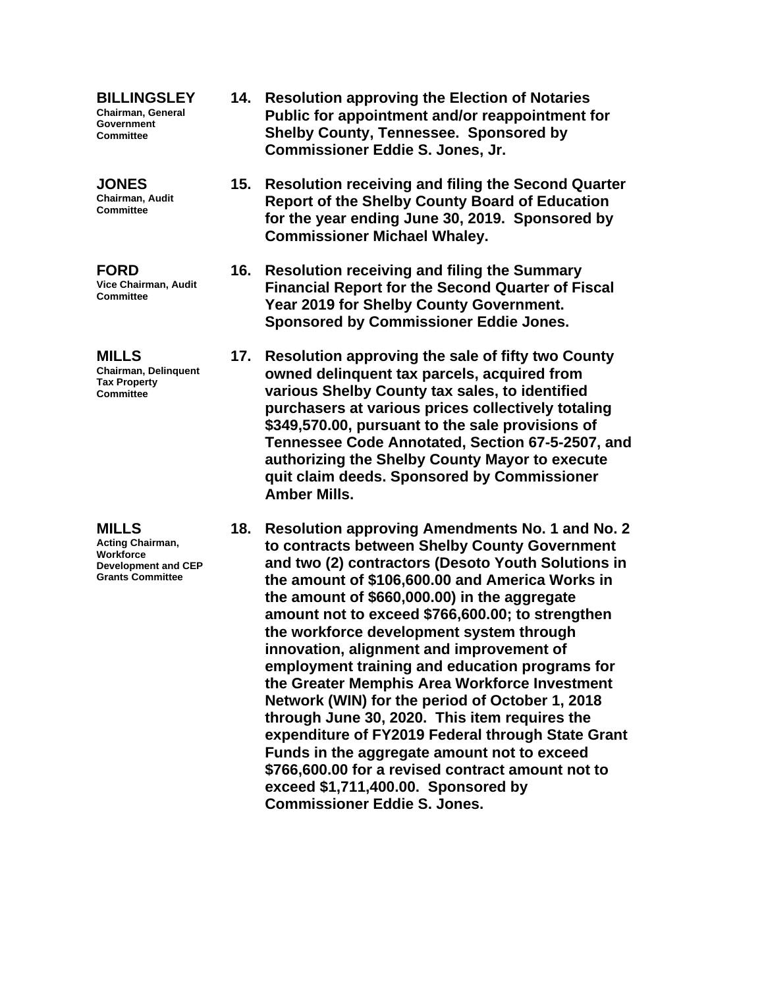**BILLINGSLEY Chairman, General Government Committee**

**JONES Chairman, Audit Committee**

**FORD Vice Chairman, Audit Committee**

**MILLS Chairman, Delinquent Tax Property Committee**

**MILLS Acting Chairman, Workforce Development and CEP Grants Committee**

- **14. Resolution approving the Election of Notaries Public for appointment and/or reappointment for Shelby County, Tennessee. Sponsored by Commissioner Eddie S. Jones, Jr.**
- **15. Resolution receiving and filing the Second Quarter Report of the Shelby County Board of Education for the year ending June 30, 2019. Sponsored by Commissioner Michael Whaley.**
- **16. Resolution receiving and filing the Summary Financial Report for the Second Quarter of Fiscal Year 2019 for Shelby County Government. Sponsored by Commissioner Eddie Jones.**
- **17. Resolution approving the sale of fifty two County owned delinquent tax parcels, acquired from various Shelby County tax sales, to identified purchasers at various prices collectively totaling \$349,570.00, pursuant to the sale provisions of Tennessee Code Annotated, Section 67-5-2507, and authorizing the Shelby County Mayor to execute quit claim deeds. Sponsored by Commissioner Amber Mills.**
- **18. Resolution approving Amendments No. 1 and No. 2 to contracts between Shelby County Government and two (2) contractors (Desoto Youth Solutions in the amount of \$106,600.00 and America Works in the amount of \$660,000.00) in the aggregate amount not to exceed \$766,600.00; to strengthen the workforce development system through innovation, alignment and improvement of employment training and education programs for the Greater Memphis Area Workforce Investment Network (WIN) for the period of October 1, 2018 through June 30, 2020. This item requires the expenditure of FY2019 Federal through State Grant Funds in the aggregate amount not to exceed \$766,600.00 for a revised contract amount not to exceed \$1,711,400.00. Sponsored by Commissioner Eddie S. Jones.**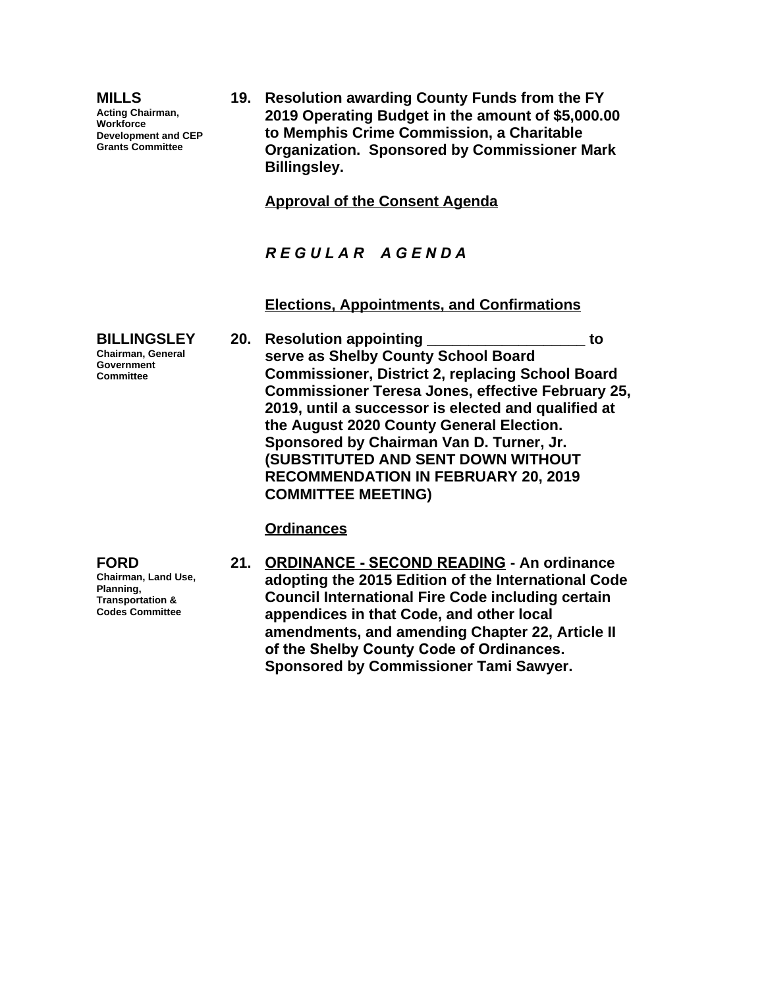| <b>MILLS</b><br><b>Acting Chairman,</b><br>Workforce<br><b>Development and CEP</b><br><b>Grants Committee</b> | 19. Resolution awarding County Funds from the FY<br>2019 Operating Budget in the amount of \$5,000.00<br>to Memphis Crime Commission, a Charitable<br><b>Organization. Sponsored by Commissioner Mark</b><br><b>Billingsley.</b>                                                                                                                                                         |
|---------------------------------------------------------------------------------------------------------------|------------------------------------------------------------------------------------------------------------------------------------------------------------------------------------------------------------------------------------------------------------------------------------------------------------------------------------------------------------------------------------------|
|                                                                                                               | <b>Approval of the Consent Agenda</b>                                                                                                                                                                                                                                                                                                                                                    |
|                                                                                                               | REGULAR AGENDA                                                                                                                                                                                                                                                                                                                                                                           |
|                                                                                                               | <b>Elections, Appointments, and Confirmations</b>                                                                                                                                                                                                                                                                                                                                        |
| <b>BILLINGSLEY</b><br><b>Chairman, General</b><br>Government<br><b>Committee</b>                              | 20. Resolution appointing<br>to<br>serve as Shelby County School Board<br><b>Commissioner, District 2, replacing School Board</b><br><b>Commissioner Teresa Jones, effective February 25,</b><br>2019, until a successor is elected and qualified at<br>the August 2020 County General Election.<br>Sponsored by Chairman Van D. Turner, Jr.<br><b>SUBSTITUTED AND SENT DOWN WITHOUT</b> |

**COMMITTEE MEETING)**

**Ordinances**

**FORD Chairman, Land Use, Planning, Transportation & Codes Committee**

**21. ORDINANCE - SECOND READING - An ordinance adopting the 2015 Edition of the International Code Council International Fire Code including certain appendices in that Code, and other local amendments, and amending Chapter 22, Article II of the Shelby County Code of Ordinances. Sponsored by Commissioner Tami Sawyer.**

**RECOMMENDATION IN FEBRUARY 20, 2019**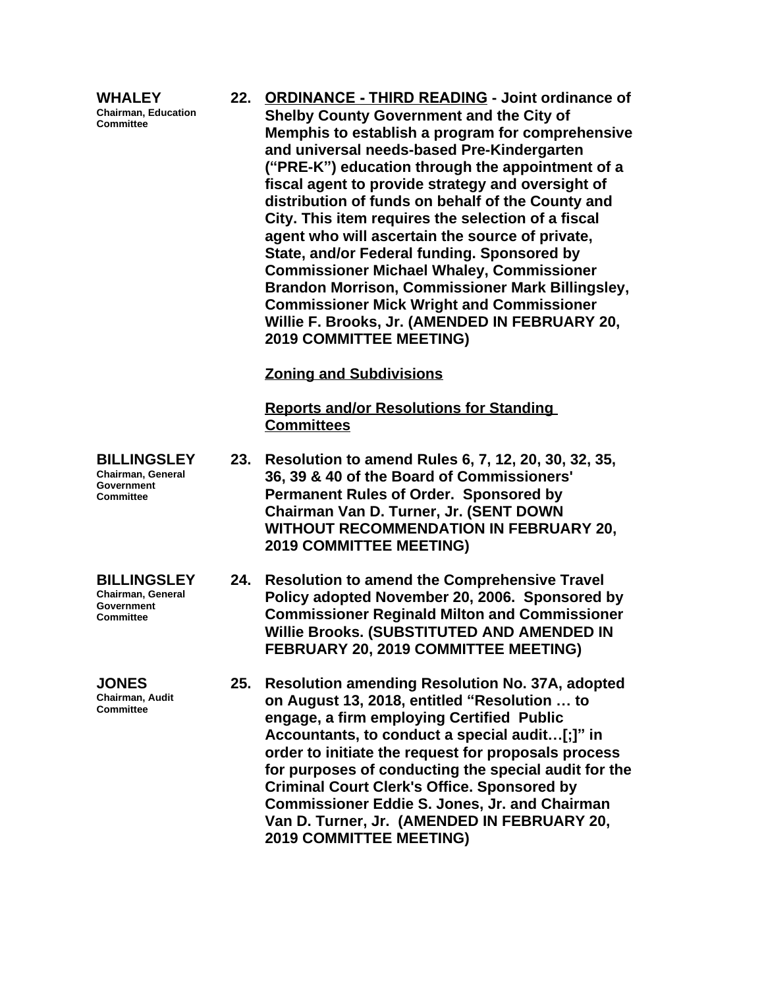**WHALEY Chairman, Education Committee**

**22. ORDINANCE - THIRD READING - Joint ordinance of Shelby County Government and the City of Memphis to establish a program for comprehensive and universal needs-based Pre-Kindergarten ("PRE-K") education through the appointment of a fiscal agent to provide strategy and oversight of distribution of funds on behalf of the County and City. This item requires the selection of a fiscal agent who will ascertain the source of private, State, and/or Federal funding. Sponsored by Commissioner Michael Whaley, Commissioner Brandon Morrison, Commissioner Mark Billingsley, Commissioner Mick Wright and Commissioner Willie F. Brooks, Jr. (AMENDED IN FEBRUARY 20, 2019 COMMITTEE MEETING)**

**Zoning and Subdivisions**

**Reports and/or Resolutions for Standing Committees**

- **BILLINGSLEY 23. Resolution to amend Rules 6, 7, 12, 20, 30, 32, 35, 36, 39 & 40 of the Board of Commissioners' Permanent Rules of Order. Sponsored by Chairman Van D. Turner, Jr. (SENT DOWN WITHOUT RECOMMENDATION IN FEBRUARY 20, 2019 COMMITTEE MEETING)**
	- **24. Resolution to amend the Comprehensive Travel Policy adopted November 20, 2006. Sponsored by Commissioner Reginald Milton and Commissioner Willie Brooks. (SUBSTITUTED AND AMENDED IN FEBRUARY 20, 2019 COMMITTEE MEETING)**
		- **25. Resolution amending Resolution No. 37A, adopted on August 13, 2018, entitled "Resolution … to engage, a firm employing Certified Public Accountants, to conduct a special audit…[;]" in order to initiate the request for proposals process for purposes of conducting the special audit for the Criminal Court Clerk's Office. Sponsored by Commissioner Eddie S. Jones, Jr. and Chairman Van D. Turner, Jr. (AMENDED IN FEBRUARY 20, 2019 COMMITTEE MEETING)**

**Chairman, General Government Committee**

**BILLINGSLEY Chairman, General Government Committee**

**JONES Chairman, Audit Committee**